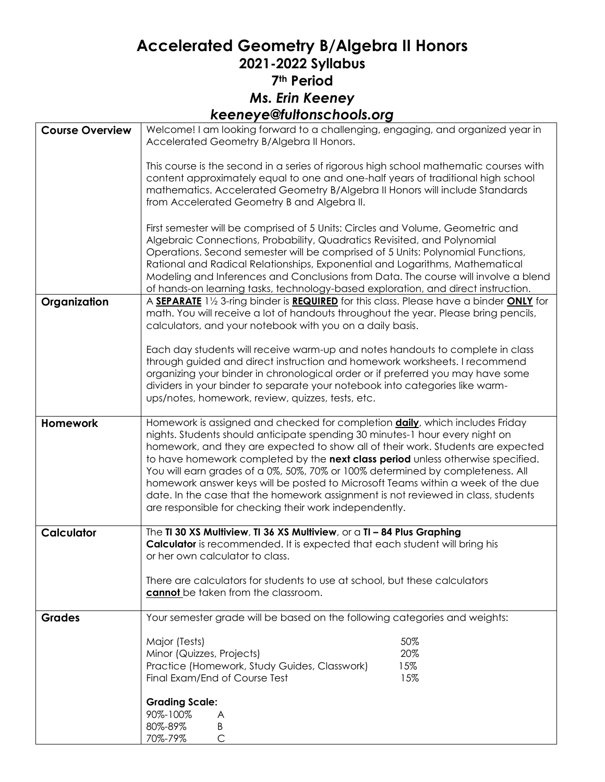## **Accelerated Geometry B/Algebra II Honors 2021-2022 Syllabus 7th Period** *Ms. Erin Keeney keeneye@fultonschools.org*

| <b>Course Overview</b> | Welcome! I am looking forward to a challenging, engaging, and organized year in<br>Accelerated Geometry B/Algebra II Honors.                                                                                                                                                                                                                                                                                                                                                                                                                                                                                                                                    |
|------------------------|-----------------------------------------------------------------------------------------------------------------------------------------------------------------------------------------------------------------------------------------------------------------------------------------------------------------------------------------------------------------------------------------------------------------------------------------------------------------------------------------------------------------------------------------------------------------------------------------------------------------------------------------------------------------|
|                        | This course is the second in a series of rigorous high school mathematic courses with<br>content approximately equal to one and one-half years of traditional high school<br>mathematics. Accelerated Geometry B/Algebra II Honors will include Standards<br>from Accelerated Geometry B and Algebra II.                                                                                                                                                                                                                                                                                                                                                        |
|                        | First semester will be comprised of 5 Units: Circles and Volume, Geometric and<br>Algebraic Connections, Probability, Quadratics Revisited, and Polynomial<br>Operations. Second semester will be comprised of 5 Units: Polynomial Functions,<br>Rational and Radical Relationships, Exponential and Logarithms, Mathematical<br>Modeling and Inferences and Conclusions from Data. The course will involve a blend<br>of hands-on learning tasks, technology-based exploration, and direct instruction.                                                                                                                                                        |
| Organization           | A SEPARATE 11/2 3-ring binder is REQUIRED for this class. Please have a binder ONLY for<br>math. You will receive a lot of handouts throughout the year. Please bring pencils,<br>calculators, and your notebook with you on a daily basis.                                                                                                                                                                                                                                                                                                                                                                                                                     |
|                        | Each day students will receive warm-up and notes handouts to complete in class<br>through guided and direct instruction and homework worksheets. I recommend<br>organizing your binder in chronological order or if preferred you may have some<br>dividers in your binder to separate your notebook into categories like warm-<br>ups/notes, homework, review, quizzes, tests, etc.                                                                                                                                                                                                                                                                            |
| <b>Homework</b>        | Homework is assigned and checked for completion <b>daily</b> , which includes Friday<br>nights. Students should anticipate spending 30 minutes-1 hour every night on<br>homework, and they are expected to show all of their work. Students are expected<br>to have homework completed by the next class period unless otherwise specified.<br>You will earn grades of a 0%, 50%, 70% or 100% determined by completeness. All<br>homework answer keys will be posted to Microsoft Teams within a week of the due<br>date. In the case that the homework assignment is not reviewed in class, students<br>are responsible for checking their work independently. |
| <b>Calculator</b>      | The TI 30 XS Multiview, TI 36 XS Multiview, or a TI - 84 Plus Graphing<br><b>Calculator</b> is recommended. It is expected that each student will bring his<br>or her own calculator to class.                                                                                                                                                                                                                                                                                                                                                                                                                                                                  |
|                        | There are calculators for students to use at school, but these calculators<br>cannot be taken from the classroom.                                                                                                                                                                                                                                                                                                                                                                                                                                                                                                                                               |
| <b>Grades</b>          | Your semester grade will be based on the following categories and weights:                                                                                                                                                                                                                                                                                                                                                                                                                                                                                                                                                                                      |
|                        | 50%<br>Major (Tests)<br>Minor (Quizzes, Projects)<br>20%<br>15%<br>Practice (Homework, Study Guides, Classwork)<br>15%<br>Final Exam/End of Course Test                                                                                                                                                                                                                                                                                                                                                                                                                                                                                                         |
|                        | <b>Grading Scale:</b><br>90%-100%<br>A<br>80%-89%<br>B<br>C<br>70%-79%                                                                                                                                                                                                                                                                                                                                                                                                                                                                                                                                                                                          |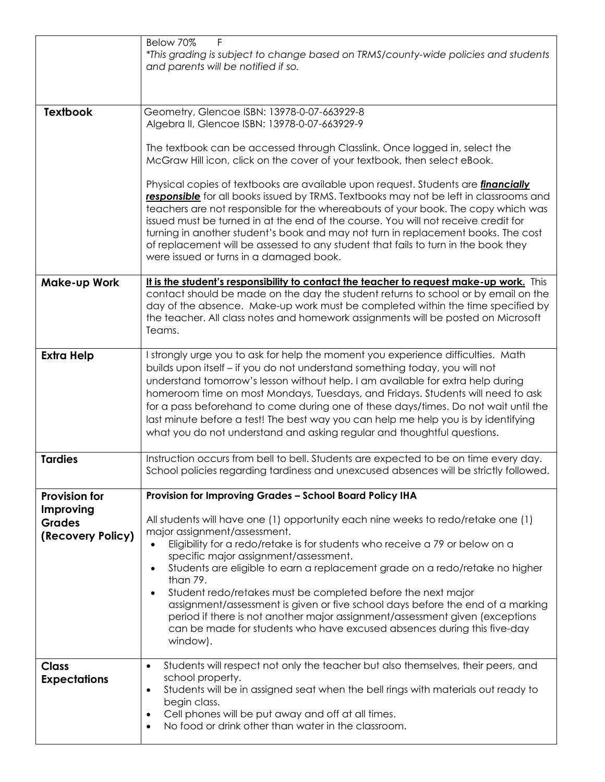|                                     | F<br>Below 70%<br>*This grading is subject to change based on TRMS/county-wide policies and students<br>and parents will be notified if so.                                                                                                                                                                                                                                                                                                                                                                                                                                                   |
|-------------------------------------|-----------------------------------------------------------------------------------------------------------------------------------------------------------------------------------------------------------------------------------------------------------------------------------------------------------------------------------------------------------------------------------------------------------------------------------------------------------------------------------------------------------------------------------------------------------------------------------------------|
| <b>Textbook</b>                     | Geometry, Glencoe ISBN: 13978-0-07-663929-8<br>Algebra II, Glencoe ISBN: 13978-0-07-663929-9<br>The textbook can be accessed through Classlink. Once logged in, select the<br>McGraw Hill icon, click on the cover of your textbook, then select eBook.                                                                                                                                                                                                                                                                                                                                       |
|                                     | Physical copies of textbooks are available upon request. Students are <i>financially</i><br>responsible for all books issued by TRMS. Textbooks may not be left in classrooms and<br>teachers are not responsible for the whereabouts of your book. The copy which was<br>issued must be turned in at the end of the course. You will not receive credit for<br>turning in another student's book and may not turn in replacement books. The cost<br>of replacement will be assessed to any student that fails to turn in the book they<br>were issued or turns in a damaged book.            |
| <b>Make-up Work</b>                 | It is the student's responsibility to contact the teacher to request make-up work. This<br>contact should be made on the day the student returns to school or by email on the<br>day of the absence. Make-up work must be completed within the time specified by<br>the teacher. All class notes and homework assignments will be posted on Microsoft<br>Teams.                                                                                                                                                                                                                               |
| <b>Extra Help</b>                   | I strongly urge you to ask for help the moment you experience difficulties. Math<br>builds upon itself - if you do not understand something today, you will not<br>understand tomorrow's lesson without help. I am available for extra help during<br>homeroom time on most Mondays, Tuesdays, and Fridays. Students will need to ask<br>for a pass beforehand to come during one of these days/times. Do not wait until the<br>last minute before a test! The best way you can help me help you is by identifying<br>what you do not understand and asking regular and thoughtful questions. |
| <b>Tardies</b>                      | Instruction occurs from bell to bell. Students are expected to be on time every day.<br>School policies regarding tardiness and unexcused absences will be strictly followed.                                                                                                                                                                                                                                                                                                                                                                                                                 |
| <b>Provision for</b>                | Provision for Improving Grades - School Board Policy IHA                                                                                                                                                                                                                                                                                                                                                                                                                                                                                                                                      |
| Improving<br><b>Grades</b>          | All students will have one (1) opportunity each nine weeks to redo/retake one (1)<br>major assignment/assessment.                                                                                                                                                                                                                                                                                                                                                                                                                                                                             |
| (Recovery Policy)                   | Eligibility for a redo/retake is for students who receive a 79 or below on a<br>specific major assignment/assessment.<br>Students are eligible to earn a replacement grade on a redo/retake no higher                                                                                                                                                                                                                                                                                                                                                                                         |
|                                     | than 79.<br>Student redo/retakes must be completed before the next major<br>$\bullet$<br>assignment/assessment is given or five school days before the end of a marking<br>period if there is not another major assignment/assessment given (exceptions<br>can be made for students who have excused absences during this five-day<br>window).                                                                                                                                                                                                                                                |
| <b>Class</b><br><b>Expectations</b> | Students will respect not only the teacher but also themselves, their peers, and<br>$\bullet$<br>school property.<br>Students will be in assigned seat when the bell rings with materials out ready to<br>$\bullet$<br>begin class.<br>Cell phones will be put away and off at all times.<br>$\bullet$<br>No food or drink other than water in the classroom.<br>$\bullet$                                                                                                                                                                                                                    |